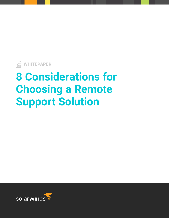

# **8 Considerations for Choosing a Remote Support Solution**

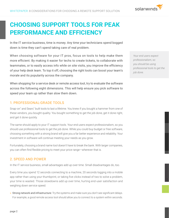

# **CHOOSING SUPPORT TOOLS FOR PEAK PERFORMANCE AND EFFICIENCY**

In the IT service business, time is money. Any time your technicians spend bogged down is time they can't spend taking care of real problem.

When choosing software for your IT pros, focus on tools to help make them more efficient. By making it easier for techs to create tickets, to collaborate with teammates, or to easily access info while on site visits, you improve the efficiency of your help desk team. To top it off, choosing the right tools can boost your team's morale and its popularity across the company.

When shopping for a service desk or remote access tool, try to evaluate the software across the following eight dimensions. This will help ensure you pick software to speed your team up rather than slow them down.

## 1. PROFESSIONAL-GRADE TOOLS

Snap-on® and Sears® built tools to last a lifetime. You knew if you bought a hammer from one of these vendors, you bought quality. You bought something to get the job done, get it done right, and get it done quickly.

The same should apply to your IT support tools. Your end users expect professionalism, so you should use professional tools to get the job done. While you could buy budget or free software, choosing something with a strong brand will give you a far better experience and reliability. Your investment in software will continue meeting your needs as you grow.

Fortunately, choosing a brand name tool doesn't have to break the bank. With larger companies, you can often find flexible pricing to meet your price range—wherever that is.

# 2. SPEED AND POWER

In the IT service business, small advantages add up over time. Small disadvantages do, too.

Every time you spend 12 seconds connecting to a machine, 20 seconds logging into a mobile app rather than using your thumbprint, or taking five clicks instead of two to solve a problem, your time is wasted. Those slowdowns add up over time, hurting end-user satisfaction and weighing down service speed.

» Strong network and infrastructure: Try the systems and make sure you don't see significant delays. For example, a good remote access tool should allow you to connect to a system within seconds.

*Your end users expect professionalism, so you should be using professional tools to get the job done.*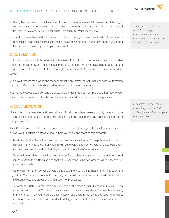

- » Quality features: Yes, you want your tools to have the features you need. However, one of the bigger mistakes you can make is to evaluate based on a laundry list of features. You'll likely never use all the features in a system, so look for quality, not quantity. Which leads us to…
- » Usability: Take a trial. Test the system yourself, and have your teammates test it. A few days up front can pay dividends in terms of efficiency gains down the line. If something annoys you during the trial period, it will only bother you more over time.

# 3. AUTOMATION

Automation brings multiple benefits to a business. Not only can it improve efficiency, it can also boost the consistency and quality of a service. Plus, it helps employees avoid mundane, manual tasks and gives them space to focus on higher-value projects (and perhaps take on more daily tasks).

While your remote monitoring and management (RMM) platform likely includes some automation tools, your IT support tools should also help you automate processes.

Your remote access solution should allow you the ability to push scripts and other files to your users. This is a lot easier than having technicians spend time manually solving issues.

#### 4. COLLABORATION

IT service businesses are rarely solo shows. IT help desk departments usually have a mixture of employees to get the job done. Some are senior, some are junior. Some are specialists, some are generalists.

Even if you don't currently have a large team with diverse skillsets, you likely will as your business grows. Your IT support software should help you make the most of this dynamic.

- » Session transfers: Sometimes, technicians need to ask each other for help. Maybe a problem is particularly thorny for a generalist technician but would be straightforward for a specialist. Your remote access software should allow your team to easily transfer sessions.
- » Communication: Even if they don't need to transfer sessions, technicians can benefit from good communication tools. Being able to chat with other techs in the background will help them solve issues much faster.
- » Historical information: Anyone should be able to quickly get the information they need to get the job done. Your service desk should allow easy access to ticket information, session histories, notes, and even photos and videos of configurations or processes.
- » Performance: Both your remote access and help desk software should give you full visibility into technician performance. This lets you know when to provide training, how to schedule your team, and how to optimize your team's skillsets. Look for a system that gives you reports on ticket resolution times, session lengths and scheduling density, and the types of issues resolved by each technician.

*The best IT providers are often "out of sight, out of mind," which can mean customers don't always see the value of their services.*

*Even if you don't currently have a large team with diverse skillsets, you likely will as your business grows.*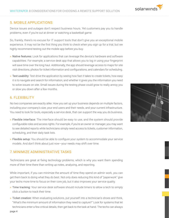#### 5. MOBILE APPLICATIONS

Device issues and outages don't respect business hours. Yet customers pay you to handle problems, even if you're out at dinner or watching a basketball game.

So, frankly, there's no excuse for IT support tools that don't give you an exceptional mobile experience. It may not be the first thing you think to check when you sign up for a trial, but we highly recommend testing out the mobile app before you buy.

- » Native features: Look for applications that can leverage the device's hardware and software capabilities. For example, a service desk app that allows you to log in using your fingerprint will save time over the long haul. Additionally, the app should leverage access to maps for site visit directions, photos for ticket information and configurations, and calendars for scheduling.
- » Test usability: Test drive the application by seeing how fast it takes to create tickets, how easy it is to navigate and search for information, and whether it gives you the information you need to solve issues on site. Small issues during the testing phase could grow to really annoy you or slow you down after a few months.

#### 6. FLEXIBILITY

No two companies are exactly alike. How you set up your business depends on multiple factors, including your company's size, your end users and their needs, and your current infrastructure. You need to look for tools, especially a service desk, that can support the way you do business.

- » Flexible interface: The interface should be easy to use, and the system should provide configurable roles and access rights. For example, if you're an owner or manager, you may want to see detailed reports while technicians simply need access to tickets, customer information, scheduling, and their daily task lists.
- » Flexible setup: You should be able to configure your system to accommodate your service models. And don't think about just now—your needs may shift over time.

## 7. MINIMIZE ADMINISTRATIVE TASKS

Technicians are great at fixing technology problems, which is why you want them spending more of their time there than writing up notes, analyzing, and reporting.

While important, if you can minimize the amount of time they spend on admin work, you can get them back to doing what they do best. Not only does reducing this kind of "paperwork" give your techs more time to focus on their core job, but it also improves your service quality.

- » Time tracking: Your service desk software should include timers to allow a tech to simply click a button to track their time.
- » Ticket creation: When evaluating solutions, put yourself into a technician's shoes and think, "What's the minimum amount of information they need to capture?" Look for systems that let technicians enter a few critical details, then get back to the task at hand. The techs can always





#### page 4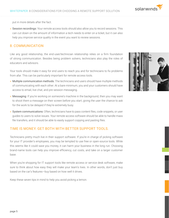put in more details after the fact.

» Session recordings: Your remote access tools should also allow you to record sessions. This can cut down on the amount of information a tech needs to enter on a ticket, but it can also help you improve service quality in the event you want to review sessions.

# 8. COMMUNICATION

Like any good relationship, the end-user/technician relationship relies on a firm foundation of strong communication. Besides being problem solvers, technicians also play the roles of educators and advisors.

Your tools should make it easy for end users to reach you and for technicians to fix problems from afar. This can be particularly important for remote access tools.

- » Multiple communication methods: The technicians and users should have multiple methods of communicating with each other. At a bare minimum, you and your customers should have access to email, live chat, and pre-session messaging.
- » Messaging: If you're working on someone's machine in the background, then you may want to shoot them a message on their screen before you start, giving the user the chance to ask for the work to be delayed if they're extremely busy.
- » System communications: Often, technicians have to pass content files, code snippets, or user guides to users to solve issues. Your remote access software should be able to handle mass file transfers, and it should be able to easily support copying and pasting files.

# TIME IS MONEY. GET BOTH WITH BETTER SUPPORT TOOLS.

Technicians pretty much live in their support software. If you're in charge of picking software for your IT provider's employees, you may be tempted to use free or open-source tools. While this seems like it could save you money, it can harm your business in the long run. Choosing brand-name tools can help you improve efficiency, cut costs, and take on a larger customer base.

When you're shopping for IT support tools like remote access or service desk software, make sure to think about how easy they will make your team's lives. In other words, don't just buy based on the car's features—buy based on how well it drives.

Keep these seven tips in mind to help you avoid picking a lemon.